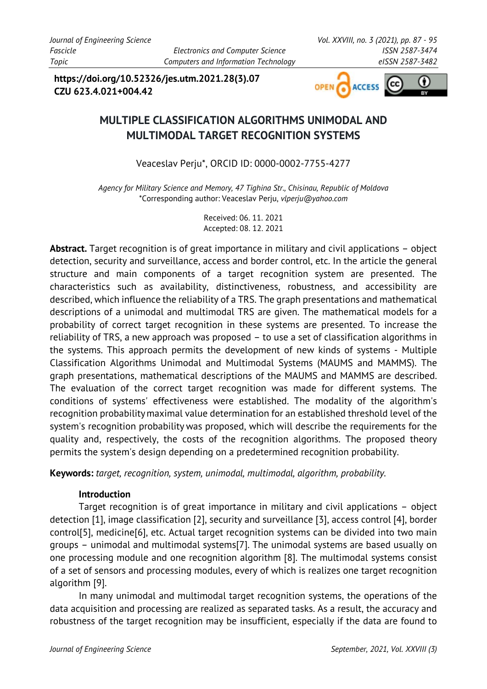**https://doi.org/10.52326/jes.utm.2021.28(3).07 CZU 623.4.021+004.42**



# **MULTIPLE CLASSIFICATION ALGORITHMS UNIMODAL AND MULTIMODAL TARGET RECOGNITION SYSTEMS**

Veaceslav Perju\*, ORCID ID: 0000-0002-7755-4277

*Agency for Military Science and Memory, 47 Tighina Str., Chisinau, Republic of Moldova* \*Corresponding author: Veaceslav Perju, *[vlperju@yahoo.com](mailto:vlperju@yahoo.com)*

> Received: 06. 11. 2021 Accepted: 08. 12. 2021

**Abstract.** Target recognition is of great importance in military and civil applications – object detection, security and surveillance, access and border control, etc. In the article the general structure and main components of a target recognition system are presented. The characteristics such as availability, distinctiveness, robustness, and accessibility are described, which influence the reliability of a TRS. The graph presentations and mathematical descriptions of a unimodal and multimodal TRS are given. The mathematical models for a probability of correct target recognition in these systems are presented. To increase the reliability of TRS, a new approach was proposed – to use a set of classification algorithms in the systems. This approach permits the development of new kinds of systems - Multiple Classification Algorithms Unimodal and Multimodal Systems (MAUMS and MAMMS). The graph presentations, mathematical descriptions of the MAUMS and MAMMS are described. The evaluation of the correct target recognition was made for different systems. The conditions of systems' effectiveness were established. The modality of the algorithm's recognition probabilitymaximal value determination for an established threshold level of the system's recognition probability was proposed, which will describe the requirements for the quality and, respectively, the costs of the recognition algorithms. The proposed theory permits the system's design depending on a predetermined recognition probability.

**Keywords:** *target, recognition, system, unimodal, multimodal, algorithm, probability.*

## **Introduction**

Target recognition is of great importance in military and civil applications – object detection [\[1\],](#page-7-0) image classification [\[2\],](#page-7-1) security and surveillance [\[3\],](#page-7-2) access control [\[4\],](#page-7-3) border contro[l\[5\],](#page-7-4) medicin[e\[6\],](#page-7-5) etc. Actual target recognition systems can be divided into two main groups – unimodal and multimodal system[s\[7\].](#page-7-6) The unimodal systems are based usually on one processing module and one recognition algorithm [\[8\].](#page-7-7) The multimodal systems consist of a set of sensors and processing modules, every of which is realizes one target recognition algorithm [\[9\].](#page-7-8)

In many unimodal and multimodal target recognition systems, the operations of the data acquisition and processing are realized as separated tasks. As a result, the accuracy and robustness of the target recognition may be insufficient, especially if the data are found to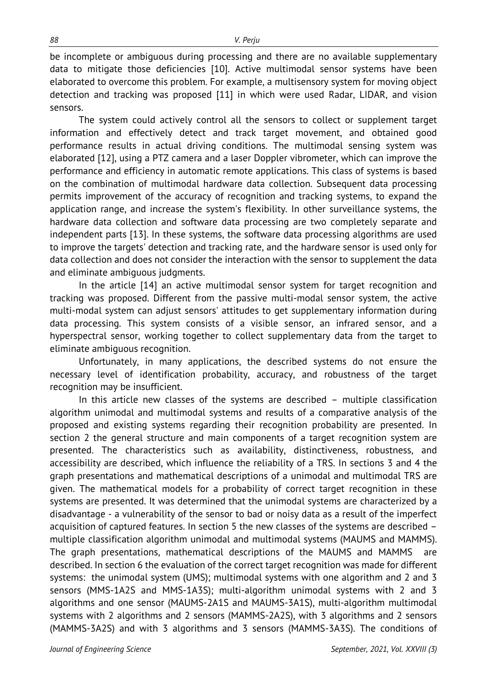be incomplete or ambiguous during processing and there are no available supplementary data to mitigate those deficiencies [\[10\].](#page-7-9) Active multimodal sensor systems have been elaborated to overcome this problem. For example, a multisensory system for moving object detection and tracking was proposed [\[11\]](#page-7-10) in which were used Radar, LIDAR, and vision sensors.

The system could actively control all the sensors to collect or supplement target information and effectively detect and track target movement, and obtained good performance results in actual driving conditions. The multimodal sensing system was elaborated [\[12\],](#page-8-0) using a PTZ camera and a laser Doppler vibrometer, which can improve the performance and efficiency in automatic remote applications. This class of systems is based on the combination of multimodal hardware data collection. Subsequent data processing permits improvement of the accuracy of recognition and tracking systems, to expand the application range, and increase the system's flexibility. In other surveillance systems, the hardware data collection and software data processing are two completely separate and independent parts [\[13\].](#page-8-1) In these systems, the software data processing algorithms are used to improve the targets' detection and tracking rate, and the hardware sensor is used only for data collection and does not consider the interaction with the sensor to supplement the data and eliminate ambiguous judgments.

In the article [\[14\]](#page-8-2) an active multimodal sensor system for target recognition and tracking was proposed. Different from the passive multi-modal sensor system, the active multi-modal system can adjust sensors' attitudes to get supplementary information during data processing. This system consists of a visible sensor, an infrared sensor, and a hyperspectral sensor, working together to collect supplementary data from the target to eliminate ambiguous recognition.

Unfortunately, in many applications, the described systems do not ensure the necessary level of identification probability, accuracy, and robustness of the target recognition may be insufficient.

In this article new classes of the systems are described – multiple classification algorithm unimodal and multimodal systems and results of a comparative analysis of the proposed and existing systems regarding their recognition probability are presented. In section 2 the general structure and main components of a target recognition system are presented. The characteristics such as availability, distinctiveness, robustness, and accessibility are described, which influence the reliability of a TRS. In sections 3 and 4 the graph presentations and mathematical descriptions of a unimodal and multimodal TRS are given. The mathematical models for a probability of correct target recognition in these systems are presented. It was determined that the unimodal systems are characterized by a disadvantage - a vulnerability of the sensor to bad or noisy data as a result of the imperfect acquisition of captured features. In section 5 the new classes of the systems are described – multiple classification algorithm unimodal and multimodal systems (MAUMS and MAMMS). The graph presentations, mathematical descriptions of the MAUMS and MAMMS are described. In section 6 the evaluation of the correct target recognition was made for different systems: the unimodal system (UMS); multimodal systems with one algorithm and 2 and 3 sensors (MMS-1A2S and MMS-1A3S); multi-algorithm unimodal systems with 2 and 3 algorithms and one sensor (MAUMS-2A1S and MAUMS-3A1S), multi-algorithm multimodal systems with 2 algorithms and 2 sensors (MAMMS-2A2S), with 3 algorithms and 2 sensors (MAMMS-3A2S) and with 3 algorithms and 3 sensors (MAMMS-3A3S). The conditions of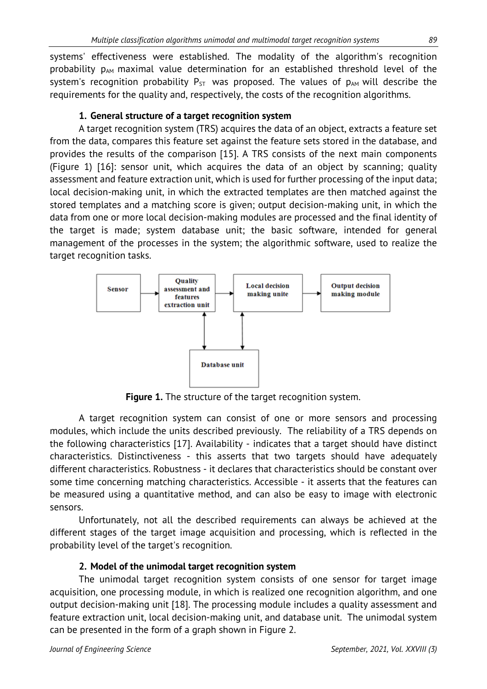systems' effectiveness were established. The modality of the algorithm's recognition probability  $p_{AM}$  maximal value determination for an established threshold level of the system's recognition probability  $P_{ST}$  was proposed. The values of  $p_{AM}$  will describe the requirements for the quality and, respectively, the costs of the recognition algorithms.

# **1. General structure of a target recognition system**

A target recognition system (TRS) acquires the data of an object, extracts a feature set from the data, compares this feature set against the feature sets stored in the database, and provides the results of the comparison [\[15\]](#page-8-3). A TRS consists of the next main components (Figure 1) [\[16\]:](#page-8-4) sensor unit, which acquires the data of an object by scanning; quality assessment and feature extraction unit, which is used for further processing of the input data; local decision-making unit, in which the extracted templates are then matched against the stored templates and a matching score is given; output decision-making unit, in which the data from one or more local decision-making modules are processed and the final identity of the target is made; system database unit; the basic software, intended for general management of the processes in the system; the algorithmic software, used to realize the target recognition tasks.



**Figure 1.** The structure of the target recognition system.

A target recognition system can consist of one or more sensors and processing modules, which include the units described previously. The reliability of a TRS depends on the following characteristics [\[17\].](#page-8-5) Availability - indicates that a target should have distinct characteristics. Distinctiveness - this asserts that two targets should have adequately different characteristics. Robustness - it declares that characteristics should be constant over some time concerning matching characteristics. Accessible - it asserts that the features can be measured using a quantitative method, and can also be easy to image with electronic sensors.

Unfortunately, not all the described requirements can always be achieved at the different stages of the target image acquisition and processing, which is reflected in the probability level of the target's recognition.

# **2. Model of the unimodal target recognition system**

The unimodal target recognition system consists of one sensor for target image acquisition, one processing module, in which is realized one recognition algorithm, and one output decision-making unit [\[18\].](#page-8-6) The processing module includes a quality assessment and feature extraction unit, local decision-making unit, and database unit. The unimodal system can be presented in the form of a graph shown in Figure 2.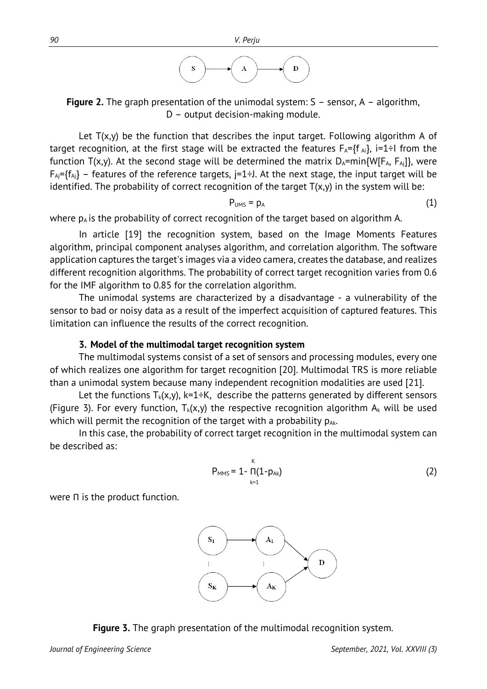

**Figure 2.** The graph presentation of the unimodal system: S – sensor, A – algorithm, D – output decision-making module.

Let  $T(x,y)$  be the function that describes the input target. Following algorithm A of target recognition, at the first stage will be extracted the features  $F_A=f f_{Ai}$ , i=1÷I from the function  $T(x,y)$ . At the second stage will be determined the matrix  $D_A=min{W[F_A, F_{Ai}]}$ , were  $F_{Ai}$ ={f<sub>Aj</sub>} – features of the reference targets, j=1÷J. At the next stage, the input target will be identified. The probability of correct recognition of the target  $T(x,y)$  in the system will be:

$$
P_{\text{UMS}} = p_A \tag{1}
$$

where  $p_A$  is the probability of correct recognition of the target based on algorithm A.

In article [\[19\]](#page-8-7) the recognition system, based on the Image Moments Features algorithm, principal component analyses algorithm, and correlation algorithm. The software application captures the target's images via a video camera, creates the database, and realizes different recognition algorithms. The probability of correct target recognition varies from 0.6 for the IMF algorithm to 0.85 for the correlation algorithm.

The unimodal systems are characterized by a disadvantage - a vulnerability of the sensor to bad or noisy data as a result of the imperfect acquisition of captured features. This limitation can influence the results of the correct recognition.

#### **3. Model of the multimodal target recognition system**

The multimodal systems consist of a set of sensors and processing modules, every one of which realizes one algorithm for target recognition [\[20\]](#page-8-8). Multimodal TRS is more reliable than a unimodal system because many independent recognition modalities are used [\[21\].](#page-8-9)

Let the functions  $T_k(x,y)$ , k=1÷K, describe the patterns generated by different sensors (Figure 3). For every function,  $T_k(x,y)$  the respective recognition algorithm  $A_k$  will be used which will permit the recognition of the target with a probability  $p_{Ak}$ .

In this case, the probability of correct target recognition in the multimodal system can be described as:

$$
P_{MMS} = 1 - \prod_{k=1}^{K} (1 - p_{Ak})
$$
 (2)

were Π is the product function.



**Figure 3.** The graph presentation of the multimodal recognition system.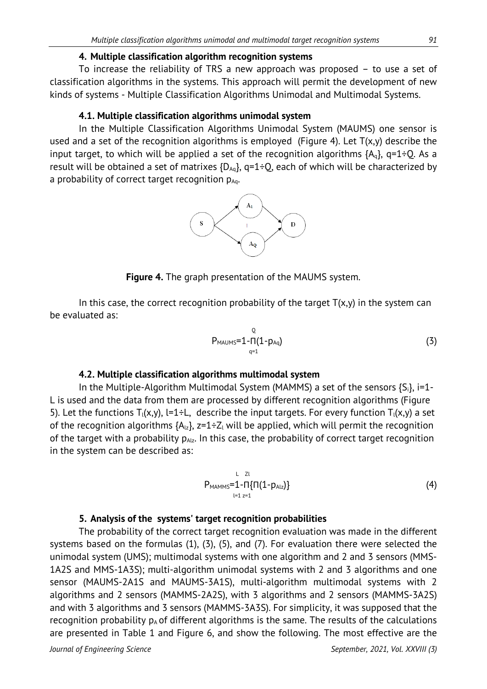#### **4. Multiple classification algorithm recognition systems**

To increase the reliability of TRS a new approach was proposed – to use a set of classification algorithms in the systems. This approach will permit the development of new kinds of systems - Multiple Classification Algorithms Unimodal and Multimodal Systems.

#### **4.1. Multiple classification algorithms unimodal system**

In the Multiple Classification Algorithms Unimodal System (MAUMS) one sensor is used and a set of the recognition algorithms is employed (Figure 4). Let  $T(x,y)$  describe the input target, to which will be applied a set of the recognition algorithms  ${A_q}$ ,  ${q=1}$  $\div$ Q. As a result will be obtained a set of matrixes  ${D_{Aq}}$ ,  ${q=1:Q}$ , each of which will be characterized by a probability of correct target recognition  $p_{Aq}$ .



**Figure 4.** The graph presentation of the MAUMS system.

In this case, the correct recognition probability of the target  $T(x,y)$  in the system can be evaluated as:

$$
P_{MAUMS} = 1 - \Pi(1 - p_{Aq})
$$
 (3)

## **4.2. Multiple classification algorithms multimodal system**

In the Multiple-Algorithm Multimodal System (MAMMS) a set of the sensors  ${S_i}$ ,  $i=1$ -L is used and the data from them are processed by different recognition algorithms (Figure 5). Let the functions  $T_1(x,y)$ , l=1÷L, describe the input targets. For every function  $T_1(x,y)$  a set of the recognition algorithms  ${A_{1z}}$ ,  $z=1\div Z_1$  will be applied, which will permit the recognition of the target with a probability  $p_{A|z}$ . In this case, the probability of correct target recognition in the system can be described as:

$$
P_{MAMMS}=1-\Pi\{\Pi(1-p_{A1z})\}
$$
\n(4)

## **5. Analysis of the systems' target recognition probabilities**

The probability of the correct target recognition evaluation was made in the different systems based on the formulas (1), (3), (5), and (7). For evaluation there were selected the unimodal system (UMS); multimodal systems with one algorithm and 2 and 3 sensors (MMS-1A2S and MMS-1A3S); multi-algorithm unimodal systems with 2 and 3 algorithms and one sensor (MAUMS-2A1S and MAUMS-3A1S), multi-algorithm multimodal systems with 2 algorithms and 2 sensors (MAMMS-2A2S), with 3 algorithms and 2 sensors (MAMMS-3A2S) and with 3 algorithms and 3 sensors (MAMMS-3A3S). For simplicity, it was supposed that the recognition probability  $p_A$  of different algorithms is the same. The results of the calculations are presented in Table 1 and Figure 6, and show the following. The most effective are the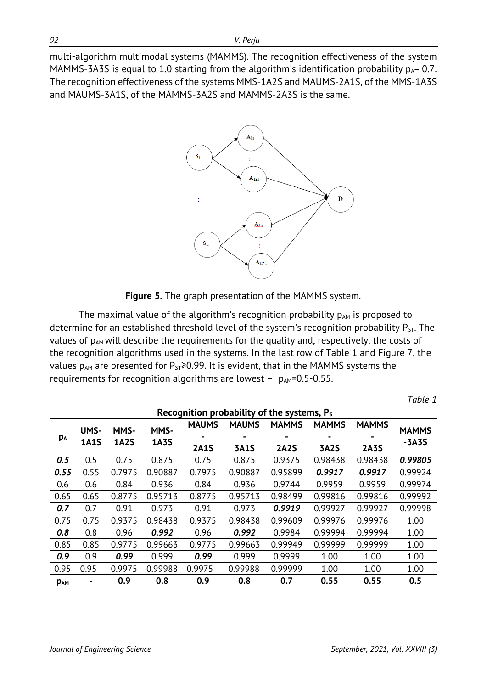multi-algorithm multimodal systems (MAMMS). The recognition effectiveness of the system MAMMS-3A3S is equal to 1.0 starting from the algorithm's identification probability  $p_A = 0.7$ . The recognition effectiveness of the systems MMS-1A2S and MAUMS-2A1S, of the MMS-1A3S and MAUMS-3A1S, of the MAMMS-3A2S and MAMMS-2A3S is the same.



**Figure 5.** The graph presentation of the MAMMS system.

The maximal value of the algorithm's recognition probability  $p_{AM}$  is proposed to determine for an established threshold level of the system's recognition probability  $P_{ST}$ . The values of  $p_{AM}$  will describe the requirements for the quality and, respectively, the costs of the recognition algorithms used in the systems. In the last row of Table 1 and Figure 7, the values  $p_{AM}$  are presented for  $P_{ST} \ge 0.99$ . It is evident, that in the MAMMS systems the requirements for recognition algorithms are lowest -  $p_{AM}=0.5-0.55$ .

| Recognition probability of the systems, P <sub>s</sub> |                     |                     |                     |              |                |              |              |              |                         |
|--------------------------------------------------------|---------------------|---------------------|---------------------|--------------|----------------|--------------|--------------|--------------|-------------------------|
| PA                                                     | UMS-<br><b>1A1S</b> | MMS-<br><b>1A2S</b> | MMS-<br><b>1A3S</b> | <b>MAUMS</b> | <b>MAUMS</b>   | <b>MAMMS</b> | <b>MAMMS</b> | <b>MAMMS</b> | <b>MAMMS</b><br>$-3A3S$ |
|                                                        |                     |                     |                     |              | $\blacksquare$ | ۰            |              |              |                         |
|                                                        |                     |                     |                     | <b>2A1S</b>  | <b>3A1S</b>    | <b>2A2S</b>  | <b>3A2S</b>  | <b>2A3S</b>  |                         |
| 0.5                                                    | 0.5                 | 0.75                | 0.875               | 0.75         | 0.875          | 0.9375       | 0.98438      | 0.98438      | 0.99805                 |
| 0.55                                                   | 0.55                | 0.7975              | 0.90887             | 0.7975       | 0.90887        | 0.95899      | 0.9917       | 0.9917       | 0.99924                 |
| 0.6                                                    | 0.6                 | 0.84                | 0.936               | 0.84         | 0.936          | 0.9744       | 0.9959       | 0.9959       | 0.99974                 |
| 0.65                                                   | 0.65                | 0.8775              | 0.95713             | 0.8775       | 0.95713        | 0.98499      | 0.99816      | 0.99816      | 0.99992                 |
| 0.7                                                    | 0.7                 | 0.91                | 0.973               | 0.91         | 0.973          | 0.9919       | 0.99927      | 0.99927      | 0.99998                 |
| 0.75                                                   | 0.75                | 0.9375              | 0.98438             | 0.9375       | 0.98438        | 0.99609      | 0.99976      | 0.99976      | 1.00                    |
| 0.8                                                    | 0.8                 | 0.96                | 0.992               | 0.96         | 0.992          | 0.9984       | 0.99994      | 0.99994      | 1.00                    |
| 0.85                                                   | 0.85                | 0.9775              | 0.99663             | 0.9775       | 0.99663        | 0.99949      | 0.99999      | 0.99999      | 1.00                    |
| 0.9                                                    | 0.9                 | 0.99                | 0.999               | 0.99         | 0.999          | 0.9999       | 1.00         | 1.00         | 1.00                    |
| 0.95                                                   | 0.95                | 0.9975              | 0.99988             | 0.9975       | 0.99988        | 0.99999      | 1.00         | 1.00         | 1.00                    |
| <b>PAM</b>                                             |                     | 0.9                 | 0.8                 | 0.9          | 0.8            | 0.7          | 0.55         | 0.55         | 0.5                     |

*Table 1*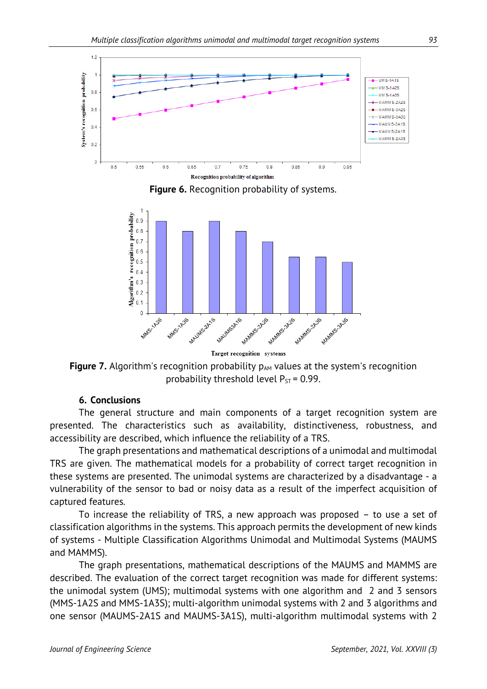

**Figure 6.** Recognition probability of systems.



Target recognition systems

**Figure 7.** Algorithm's recognition probability  $p_{AM}$  values at the system's recognition probability threshold level  $P_{ST}$  = 0.99.

## **6. Conclusions**

The general structure and main components of a target recognition system are presented. The characteristics such as availability, distinctiveness, robustness, and accessibility are described, which influence the reliability of a TRS.

The graph presentations and mathematical descriptions of a unimodal and multimodal TRS are given. The mathematical models for a probability of correct target recognition in these systems are presented. The unimodal systems are characterized by a disadvantage - a vulnerability of the sensor to bad or noisy data as a result of the imperfect acquisition of captured features.

To increase the reliability of TRS, a new approach was proposed – to use a set of classification algorithms in the systems. This approach permits the development of new kinds of systems - Multiple Classification Algorithms Unimodal and Multimodal Systems (MAUMS and MAMMS).

The graph presentations, mathematical descriptions of the MAUMS and MAMMS are described. The evaluation of the correct target recognition was made for different systems: the unimodal system (UMS); multimodal systems with one algorithm and 2 and 3 sensors (MMS-1A2S and MMS-1A3S); multi-algorithm unimodal systems with 2 and 3 algorithms and one sensor (MAUMS-2A1S and MAUMS-3A1S), multi-algorithm multimodal systems with 2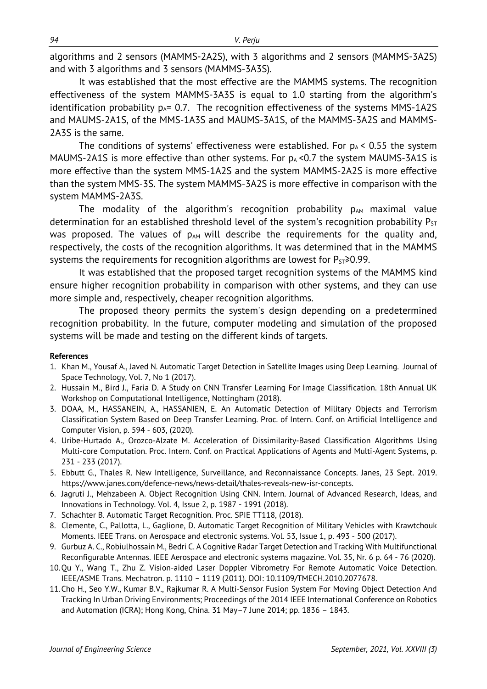algorithms and 2 sensors (MAMMS-2A2S), with 3 algorithms and 2 sensors (MAMMS-3A2S) and with 3 algorithms and 3 sensors (MAMMS-3A3S).

It was established that the most effective are the MAMMS systems. The recognition effectiveness of the system MAMMS-3A3S is equal to 1.0 starting from the algorithm's identification probability  $p_{A} = 0.7$ . The recognition effectiveness of the systems MMS-1A2S and MAUMS-2A1S, of the MMS-1A3S and MAUMS-3A1S, of the MAMMS-3A2S and MAMMS-2A3S is the same.

The conditions of systems' effectiveness were established. For  $p_A < 0.55$  the system MAUMS-2A1S is more effective than other systems. For  $p_A < 0.7$  the system MAUMS-3A1S is more effective than the system MMS-1A2S and the system MAMMS-2A2S is more effective than the system MMS-3S. The system MAMMS-3A2S is more effective in comparison with the system MAMMS-2A3S.

The modality of the algorithm's recognition probability  $p_{AM}$  maximal value determination for an established threshold level of the system's recognition probability  $P_{ST}$ was proposed. The values of  $p_{AM}$  will describe the requirements for the quality and, respectively, the costs of the recognition algorithms. It was determined that in the MAMMS systems the requirements for recognition algorithms are lowest for  $P_{ST} \ge 0.99$ .

It was established that the proposed target recognition systems of the MAMMS kind ensure higher recognition probability in comparison with other systems, and they can use more simple and, respectively, cheaper recognition algorithms.

The proposed theory permits the system's design depending on a predetermined recognition probability. In the future, computer modeling and simulation of the proposed systems will be made and testing on the different kinds of targets.

#### **References**

- <span id="page-7-0"></span>1. Khan M., Yousaf A., Javed N. Automatic Target Detection in Satellite Images using Deep Learning. Journal of Space Technology, Vol. 7, No 1 (2017).
- <span id="page-7-1"></span>2. Hussain M., Bird J., Faria D. A Study on CNN Transfer Learning For Image Classification. 18th Annual UK Workshop on Computational Intelligence, Nottingham (2018).
- <span id="page-7-2"></span>3. DOAA, M., HASSANEIN, A., HASSANIEN, E. An Automatic Detection of Military Objects and Terrorism Classification System Based on Deep Transfer Learning. [Proc. of Intern. Conf. on Artificial Intelligence and](https://link.springer.com/book/10.1007/978-3-030-44289-7) [Computer Vision,](https://link.springer.com/book/10.1007/978-3-030-44289-7) p. 594 - 603, (2020).
- <span id="page-7-3"></span>4. Uribe-Hurtado A., Orozco-Alzate M. Acceleration of Dissimilarity-Based Classification Algorithms Using Multi-core Computation. Proc. [Intern. Conf. on Practical Applications of Agents and Multi-Agent Systems,](https://link.springer.com/conference/paams) p. 231 - 23[3 \(2017\)](https://link.springer.com/book/10.1007/978-3-319-61578-3).
- <span id="page-7-4"></span>5. Ebbutt G., Thales R. New Intelligence, Surveillance, and Reconnaissance Concepts. Janes, 23 Sept. 2019. https://www.janes.com/defence-news/news-detail/thales-reveals-new-isr-concepts.
- <span id="page-7-5"></span>6. Jagruti J., Mehzabeen A. Object Recognition Using CNN. Intern. Journal of Advanced Research, Ideas, and Innovations in Technology. Vol. 4, Issue 2, p. 1987 - 1991 (2018).
- <span id="page-7-6"></span>7. [Schachter](https://spie.org/profile/Bruce.Schachter-4191929) B. Automatic Target Recognition. Proc. SPIE TT118, (2018).
- <span id="page-7-7"></span>8. [Clemente,](http://explore.bl.uk/primo_library/libweb/action/search.do?vl(freeText0)=Clemente%2c+C.&vl(2084770704UI0)=creator&vl(2084770705UI1)=all_items&fn=search&tab=local_tab&mode=Basic&vid=BLVU1&scp.scps=scope%3a(RSC)&ct=lateralLinking) C., [Pallotta, L.,](http://explore.bl.uk/primo_library/libweb/action/search.do?vl(freeText0)=Pallotta%2c+L.&vl(2084770704UI0)=creator&vl(2084770705UI1)=all_items&fn=search&tab=local_tab&mode=Basic&vid=BLVU1&scp.scps=scope%3a(RSC)&ct=lateralLinking) [Gaglione, D.](http://explore.bl.uk/primo_library/libweb/action/search.do?vl(freeText0)=Gaglione%2c+D.&vl(2084770704UI0)=creator&vl(2084770705UI1)=all_items&fn=search&tab=local_tab&mode=Basic&vid=BLVU1&scp.scps=scope%3a(RSC)&ct=lateralLinking) Automatic Target Recognition of Military Vehicles with Krawtchouk Moments. IEEE Trans. on Aerospace and electronic systems. Vol. 53, Issue 1, p. 493 - 500 (2017).
- <span id="page-7-8"></span>9. [Gurbuz](http://explore.bl.uk/primo_library/libweb/action/search.do?vl(freeText0)=Gurbuz%2c+Ali+Cafer&vl(2084770704UI0)=creator&vl(2084770705UI1)=all_items&fn=search&tab=local_tab&mode=Basic&vid=BLVU1&scp.scps=scope%3a(RSC)&ct=lateralLinking) A. C., [Robiulhossain](http://explore.bl.uk/primo_library/libweb/action/search.do?vl(freeText0)=Mdrafi%2c+Robiulhossain&vl(2084770704UI0)=creator&vl(2084770705UI1)=all_items&fn=search&tab=local_tab&mode=Basic&vid=BLVU1&scp.scps=scope%3a(RSC)&ct=lateralLinking) M., [Bedri](http://explore.bl.uk/primo_library/libweb/action/search.do?vl(freeText0)=Cetiner%2c+Bedri+A.&vl(2084770704UI0)=creator&vl(2084770705UI1)=all_items&fn=search&tab=local_tab&mode=Basic&vid=BLVU1&scp.scps=scope%3a(RSC)&ct=lateralLinking) C. A Cognitive Radar Target Detection and Tracking With Multifunctional Reconfigurable Antennas. IEEE Aerospace and electronic systems magazine. Vol. 35, Nr. 6 p. 64 - 76 (2020).
- <span id="page-7-9"></span>10.Qu Y., Wang T., Zhu Z. Vision-aided Laser Doppler Vibrometry For Remote Automatic Voice Detection. IEEE/ASME Trans. Mechatron. p. 1110 – 1119 (2011). DOI: 10.1109/TMECH.2010.2077678.
- <span id="page-7-10"></span>11.Cho H., Seo Y.W., Kumar B.V., Rajkumar R. A Multi-Sensor Fusion System For Moving Object Detection And Tracking In Urban Driving Environments; Proceedings of the 2014 IEEE International Conference on Robotics and Automation (ICRA); Hong Kong, China. 31 May–7 June 2014; pp. 1836 – 1843.